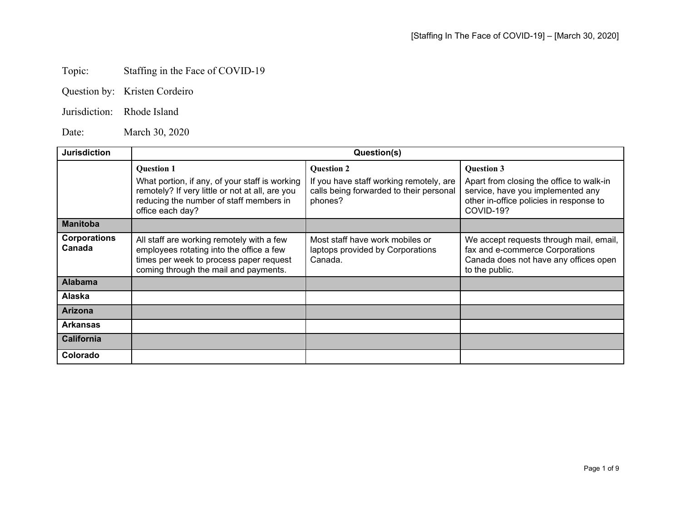## Topic: Staffing in the Face of COVID-19

| Question by: | Kristen Cordeiro |
|--------------|------------------|
|--------------|------------------|

Jurisdiction: Rhode Island

Date: March 30, 2020

| <b>Jurisdiction</b>           | Question(s)                                                                                                                                                                           |                                                                                                                    |                                                                                                                                                            |
|-------------------------------|---------------------------------------------------------------------------------------------------------------------------------------------------------------------------------------|--------------------------------------------------------------------------------------------------------------------|------------------------------------------------------------------------------------------------------------------------------------------------------------|
|                               | <b>Question 1</b><br>What portion, if any, of your staff is working<br>remotely? If very little or not at all, are you<br>reducing the number of staff members in<br>office each day? | <b>Question 2</b><br>If you have staff working remotely, are<br>calls being forwarded to their personal<br>phones? | <b>Question 3</b><br>Apart from closing the office to walk-in<br>service, have you implemented any<br>other in-office policies in response to<br>COVID-19? |
| <b>Manitoba</b>               |                                                                                                                                                                                       |                                                                                                                    |                                                                                                                                                            |
| <b>Corporations</b><br>Canada | All staff are working remotely with a few<br>employees rotating into the office a few<br>times per week to process paper request<br>coming through the mail and payments.             | Most staff have work mobiles or<br>laptops provided by Corporations<br>Canada.                                     | We accept requests through mail, email,<br>fax and e-commerce Corporations<br>Canada does not have any offices open<br>to the public.                      |
| <b>Alabama</b>                |                                                                                                                                                                                       |                                                                                                                    |                                                                                                                                                            |
| Alaska                        |                                                                                                                                                                                       |                                                                                                                    |                                                                                                                                                            |
| <b>Arizona</b>                |                                                                                                                                                                                       |                                                                                                                    |                                                                                                                                                            |
| <b>Arkansas</b>               |                                                                                                                                                                                       |                                                                                                                    |                                                                                                                                                            |
| California                    |                                                                                                                                                                                       |                                                                                                                    |                                                                                                                                                            |
| Colorado                      |                                                                                                                                                                                       |                                                                                                                    |                                                                                                                                                            |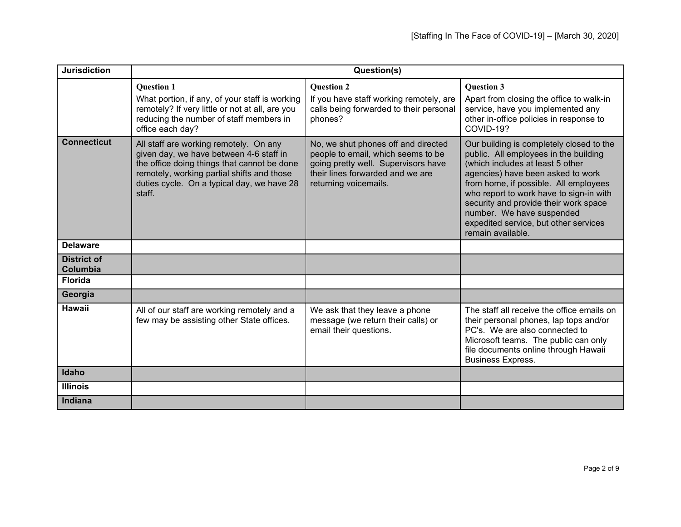| <b>Jurisdiction</b>                   | Question(s)                                                                                                                                                                                                                            |                                                                                                                                                                               |                                                                                                                                                                                                                                                                                                                                                                                    |
|---------------------------------------|----------------------------------------------------------------------------------------------------------------------------------------------------------------------------------------------------------------------------------------|-------------------------------------------------------------------------------------------------------------------------------------------------------------------------------|------------------------------------------------------------------------------------------------------------------------------------------------------------------------------------------------------------------------------------------------------------------------------------------------------------------------------------------------------------------------------------|
|                                       | <b>Ouestion 1</b><br>What portion, if any, of your staff is working                                                                                                                                                                    | <b>Ouestion 2</b>                                                                                                                                                             | <b>Ouestion 3</b>                                                                                                                                                                                                                                                                                                                                                                  |
|                                       | remotely? If very little or not at all, are you<br>reducing the number of staff members in<br>office each day?                                                                                                                         | If you have staff working remotely, are<br>calls being forwarded to their personal<br>phones?                                                                                 | Apart from closing the office to walk-in<br>service, have you implemented any<br>other in-office policies in response to<br>COVID-19?                                                                                                                                                                                                                                              |
| <b>Connecticut</b>                    | All staff are working remotely. On any<br>given day, we have between 4-6 staff in<br>the office doing things that cannot be done<br>remotely, working partial shifts and those<br>duties cycle. On a typical day, we have 28<br>staff. | No, we shut phones off and directed<br>people to email, which seems to be<br>going pretty well. Supervisors have<br>their lines forwarded and we are<br>returning voicemails. | Our building is completely closed to the<br>public. All employees in the building<br>(which includes at least 5 other<br>agencies) have been asked to work<br>from home, if possible. All employees<br>who report to work have to sign-in with<br>security and provide their work space<br>number. We have suspended<br>expedited service, but other services<br>remain available. |
| <b>Delaware</b>                       |                                                                                                                                                                                                                                        |                                                                                                                                                                               |                                                                                                                                                                                                                                                                                                                                                                                    |
| <b>District of</b><br><b>Columbia</b> |                                                                                                                                                                                                                                        |                                                                                                                                                                               |                                                                                                                                                                                                                                                                                                                                                                                    |
| <b>Florida</b>                        |                                                                                                                                                                                                                                        |                                                                                                                                                                               |                                                                                                                                                                                                                                                                                                                                                                                    |
| Georgia                               |                                                                                                                                                                                                                                        |                                                                                                                                                                               |                                                                                                                                                                                                                                                                                                                                                                                    |
| Hawaii                                | All of our staff are working remotely and a<br>few may be assisting other State offices.                                                                                                                                               | We ask that they leave a phone<br>message (we return their calls) or<br>email their questions.                                                                                | The staff all receive the office emails on<br>their personal phones, lap tops and/or<br>PC's. We are also connected to<br>Microsoft teams. The public can only<br>file documents online through Hawaii<br><b>Business Express.</b>                                                                                                                                                 |
| Idaho                                 |                                                                                                                                                                                                                                        |                                                                                                                                                                               |                                                                                                                                                                                                                                                                                                                                                                                    |
| <b>Illinois</b>                       |                                                                                                                                                                                                                                        |                                                                                                                                                                               |                                                                                                                                                                                                                                                                                                                                                                                    |
| Indiana                               |                                                                                                                                                                                                                                        |                                                                                                                                                                               |                                                                                                                                                                                                                                                                                                                                                                                    |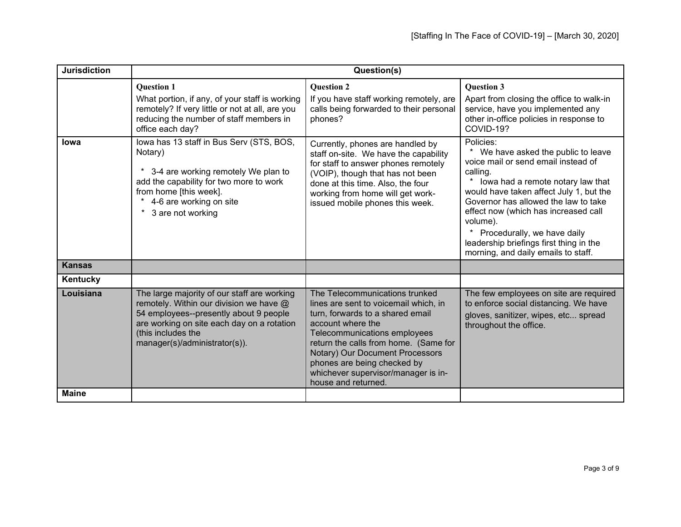| <b>Jurisdiction</b> | Question(s)                                                                                                                                                                                                                           |                                                                                                                                                                                                                                                                                                                                           |                                                                                                                                                                                                                                                                                                                                                                                               |
|---------------------|---------------------------------------------------------------------------------------------------------------------------------------------------------------------------------------------------------------------------------------|-------------------------------------------------------------------------------------------------------------------------------------------------------------------------------------------------------------------------------------------------------------------------------------------------------------------------------------------|-----------------------------------------------------------------------------------------------------------------------------------------------------------------------------------------------------------------------------------------------------------------------------------------------------------------------------------------------------------------------------------------------|
|                     | <b>Question 1</b><br>What portion, if any, of your staff is working<br>remotely? If very little or not at all, are you<br>reducing the number of staff members in<br>office each day?                                                 | <b>Question 2</b><br>If you have staff working remotely, are<br>calls being forwarded to their personal<br>phones?                                                                                                                                                                                                                        | <b>Question 3</b><br>Apart from closing the office to walk-in<br>service, have you implemented any<br>other in-office policies in response to<br>COVID-19?                                                                                                                                                                                                                                    |
| lowa                | lowa has 13 staff in Bus Serv (STS, BOS,<br>Notary)<br>3-4 are working remotely We plan to<br>*<br>add the capability for two more to work<br>from home [this week].<br>* 4-6 are working on site<br>3 are not working<br>$\star$     | Currently, phones are handled by<br>staff on-site. We have the capability<br>for staff to answer phones remotely<br>(VOIP), though that has not been<br>done at this time. Also, the four<br>working from home will get work-<br>issued mobile phones this week.                                                                          | Policies:<br>We have asked the public to leave<br>voice mail or send email instead of<br>calling<br>lowa had a remote notary law that<br>would have taken affect July 1, but the<br>Governor has allowed the law to take<br>effect now (which has increased call<br>volume).<br>Procedurally, we have daily<br>leadership briefings first thing in the<br>morning, and daily emails to staff. |
| <b>Kansas</b>       |                                                                                                                                                                                                                                       |                                                                                                                                                                                                                                                                                                                                           |                                                                                                                                                                                                                                                                                                                                                                                               |
| Kentucky            |                                                                                                                                                                                                                                       |                                                                                                                                                                                                                                                                                                                                           |                                                                                                                                                                                                                                                                                                                                                                                               |
| Louisiana           | The large majority of our staff are working<br>remotely. Within our division we have @<br>54 employees--presently about 9 people<br>are working on site each day on a rotation<br>(this includes the<br>manager(s)/administrator(s)). | The Telecommunications trunked<br>lines are sent to voicemail which, in<br>turn, forwards to a shared email<br>account where the<br>Telecommunications employees<br>return the calls from home. (Same for<br>Notary) Our Document Processors<br>phones are being checked by<br>whichever supervisor/manager is in-<br>house and returned. | The few employees on site are required<br>to enforce social distancing. We have<br>gloves, sanitizer, wipes, etc spread<br>throughout the office.                                                                                                                                                                                                                                             |
| <b>Maine</b>        |                                                                                                                                                                                                                                       |                                                                                                                                                                                                                                                                                                                                           |                                                                                                                                                                                                                                                                                                                                                                                               |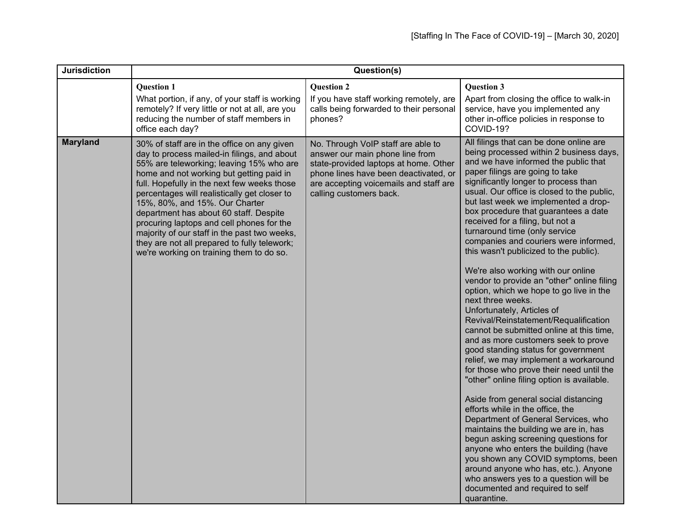| <b>Jurisdiction</b> | Question(s)                                                                                                                                                                                                                                                                                                                                                                                                                                                                                                                                            |                                                                                                                                                                                                                              |                                                                                                                                                                                                                                                                                                                                                                                                                                                                                                                                                                                                                                                                                                                                                                                                                                                                                                                                                                                                                                                                                                                                                                                                                                                                                                                                                                                                          |
|---------------------|--------------------------------------------------------------------------------------------------------------------------------------------------------------------------------------------------------------------------------------------------------------------------------------------------------------------------------------------------------------------------------------------------------------------------------------------------------------------------------------------------------------------------------------------------------|------------------------------------------------------------------------------------------------------------------------------------------------------------------------------------------------------------------------------|----------------------------------------------------------------------------------------------------------------------------------------------------------------------------------------------------------------------------------------------------------------------------------------------------------------------------------------------------------------------------------------------------------------------------------------------------------------------------------------------------------------------------------------------------------------------------------------------------------------------------------------------------------------------------------------------------------------------------------------------------------------------------------------------------------------------------------------------------------------------------------------------------------------------------------------------------------------------------------------------------------------------------------------------------------------------------------------------------------------------------------------------------------------------------------------------------------------------------------------------------------------------------------------------------------------------------------------------------------------------------------------------------------|
|                     | <b>Question 1</b><br>What portion, if any, of your staff is working<br>remotely? If very little or not at all, are you<br>reducing the number of staff members in<br>office each day?                                                                                                                                                                                                                                                                                                                                                                  | <b>Question 2</b><br>If you have staff working remotely, are<br>calls being forwarded to their personal<br>phones?                                                                                                           | <b>Question 3</b><br>Apart from closing the office to walk-in<br>service, have you implemented any<br>other in-office policies in response to<br>COVID-19?                                                                                                                                                                                                                                                                                                                                                                                                                                                                                                                                                                                                                                                                                                                                                                                                                                                                                                                                                                                                                                                                                                                                                                                                                                               |
| <b>Maryland</b>     | 30% of staff are in the office on any given<br>day to process mailed-in filings, and about<br>55% are teleworking; leaving 15% who are<br>home and not working but getting paid in<br>full. Hopefully in the next few weeks those<br>percentages will realistically get closer to<br>15%, 80%, and 15%. Our Charter<br>department has about 60 staff. Despite<br>procuring laptops and cell phones for the<br>majority of our staff in the past two weeks,<br>they are not all prepared to fully telework;<br>we're working on training them to do so. | No. Through VoIP staff are able to<br>answer our main phone line from<br>state-provided laptops at home. Other<br>phone lines have been deactivated, or<br>are accepting voicemails and staff are<br>calling customers back. | All filings that can be done online are<br>being processed within 2 business days,<br>and we have informed the public that<br>paper filings are going to take<br>significantly longer to process than<br>usual. Our office is closed to the public,<br>but last week we implemented a drop-<br>box procedure that guarantees a date<br>received for a filing, but not a<br>turnaround time (only service<br>companies and couriers were informed,<br>this wasn't publicized to the public).<br>We're also working with our online<br>vendor to provide an "other" online filing<br>option, which we hope to go live in the<br>next three weeks.<br>Unfortunately, Articles of<br>Revival/Reinstatement/Requalification<br>cannot be submitted online at this time,<br>and as more customers seek to prove<br>good standing status for government<br>relief, we may implement a workaround<br>for those who prove their need until the<br>"other" online filing option is available.<br>Aside from general social distancing<br>efforts while in the office, the<br>Department of General Services, who<br>maintains the building we are in, has<br>begun asking screening questions for<br>anyone who enters the building (have<br>you shown any COVID symptoms, been<br>around anyone who has, etc.). Anyone<br>who answers yes to a question will be<br>documented and required to self<br>quarantine. |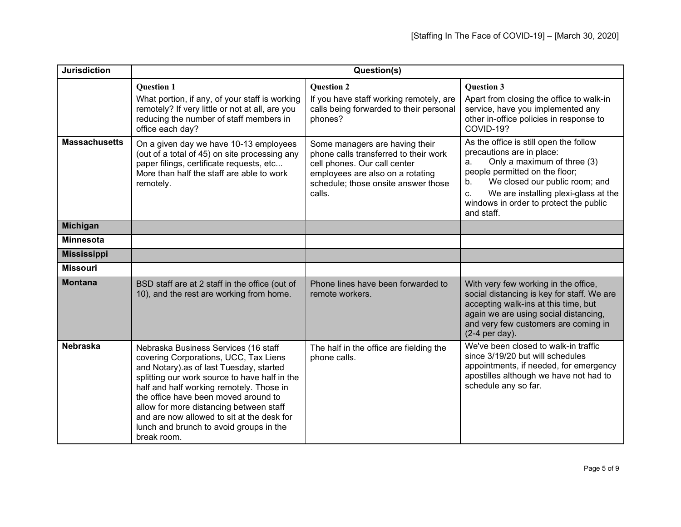| <b>Jurisdiction</b>  | Question(s)                                                                                                                                                                                                                                                                                                                                                                                                      |                                                                                                                                                                                              |                                                                                                                                                                                                                                                                                          |
|----------------------|------------------------------------------------------------------------------------------------------------------------------------------------------------------------------------------------------------------------------------------------------------------------------------------------------------------------------------------------------------------------------------------------------------------|----------------------------------------------------------------------------------------------------------------------------------------------------------------------------------------------|------------------------------------------------------------------------------------------------------------------------------------------------------------------------------------------------------------------------------------------------------------------------------------------|
|                      | <b>Ouestion 1</b><br>What portion, if any, of your staff is working<br>remotely? If very little or not at all, are you<br>reducing the number of staff members in<br>office each day?                                                                                                                                                                                                                            | <b>Ouestion 2</b><br>If you have staff working remotely, are<br>calls being forwarded to their personal<br>phones?                                                                           | <b>Ouestion 3</b><br>Apart from closing the office to walk-in<br>service, have you implemented any<br>other in-office policies in response to<br>COVID-19?                                                                                                                               |
| <b>Massachusetts</b> | On a given day we have 10-13 employees<br>(out of a total of 45) on site processing any<br>paper filings, certificate requests, etc<br>More than half the staff are able to work<br>remotely.                                                                                                                                                                                                                    | Some managers are having their<br>phone calls transferred to their work<br>cell phones. Our call center<br>employees are also on a rotating<br>schedule; those onsite answer those<br>calls. | As the office is still open the follow<br>precautions are in place:<br>Only a maximum of three (3)<br>a.<br>people permitted on the floor;<br>We closed our public room; and<br>b.<br>We are installing plexi-glass at the<br>C.<br>windows in order to protect the public<br>and staff. |
| <b>Michigan</b>      |                                                                                                                                                                                                                                                                                                                                                                                                                  |                                                                                                                                                                                              |                                                                                                                                                                                                                                                                                          |
| <b>Minnesota</b>     |                                                                                                                                                                                                                                                                                                                                                                                                                  |                                                                                                                                                                                              |                                                                                                                                                                                                                                                                                          |
| <b>Mississippi</b>   |                                                                                                                                                                                                                                                                                                                                                                                                                  |                                                                                                                                                                                              |                                                                                                                                                                                                                                                                                          |
| <b>Missouri</b>      |                                                                                                                                                                                                                                                                                                                                                                                                                  |                                                                                                                                                                                              |                                                                                                                                                                                                                                                                                          |
| <b>Montana</b>       | BSD staff are at 2 staff in the office (out of<br>10), and the rest are working from home.                                                                                                                                                                                                                                                                                                                       | Phone lines have been forwarded to<br>remote workers.                                                                                                                                        | With very few working in the office,<br>social distancing is key for staff. We are<br>accepting walk-ins at this time, but<br>again we are using social distancing,<br>and very few customers are coming in<br>(2-4 per day).                                                            |
| <b>Nebraska</b>      | Nebraska Business Services (16 staff<br>covering Corporations, UCC, Tax Liens<br>and Notary).as of last Tuesday, started<br>splitting our work source to have half in the<br>half and half working remotely. Those in<br>the office have been moved around to<br>allow for more distancing between staff<br>and are now allowed to sit at the desk for<br>lunch and brunch to avoid groups in the<br>break room. | The half in the office are fielding the<br>phone calls.                                                                                                                                      | We've been closed to walk-in traffic<br>since 3/19/20 but will schedules<br>appointments, if needed, for emergency<br>apostilles although we have not had to<br>schedule any so far.                                                                                                     |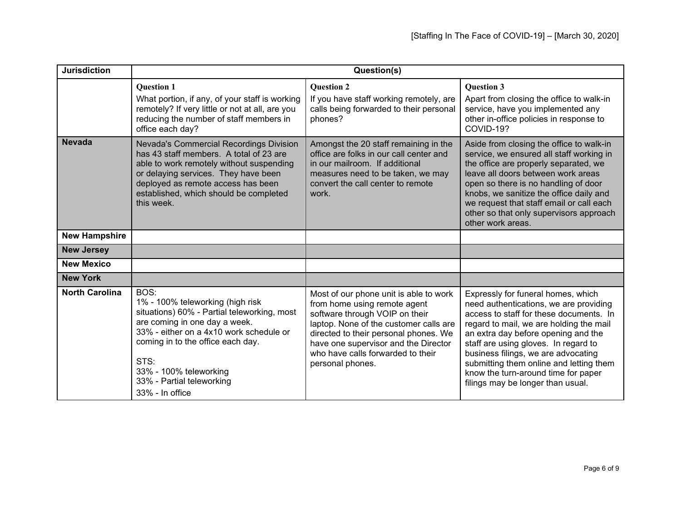| <b>Jurisdiction</b>   | Question(s)                                                                                                                                                                                                                                                                                |                                                                                                                                                                                                                                                                                              |                                                                                                                                                                                                                                                                                                                                                                                                                 |
|-----------------------|--------------------------------------------------------------------------------------------------------------------------------------------------------------------------------------------------------------------------------------------------------------------------------------------|----------------------------------------------------------------------------------------------------------------------------------------------------------------------------------------------------------------------------------------------------------------------------------------------|-----------------------------------------------------------------------------------------------------------------------------------------------------------------------------------------------------------------------------------------------------------------------------------------------------------------------------------------------------------------------------------------------------------------|
|                       | <b>Question 1</b><br>What portion, if any, of your staff is working<br>remotely? If very little or not at all, are you<br>reducing the number of staff members in<br>office each day?                                                                                                      | <b>Question 2</b><br>If you have staff working remotely, are<br>calls being forwarded to their personal<br>phones?                                                                                                                                                                           | <b>Question 3</b><br>Apart from closing the office to walk-in<br>service, have you implemented any<br>other in-office policies in response to<br>COVID-19?                                                                                                                                                                                                                                                      |
| <b>Nevada</b>         | Nevada's Commercial Recordings Division<br>has 43 staff members. A total of 23 are<br>able to work remotely without suspending<br>or delaying services. They have been<br>deployed as remote access has been<br>established, which should be completed<br>this week.                       | Amongst the 20 staff remaining in the<br>office are folks in our call center and<br>in our mailroom. If additional<br>measures need to be taken, we may<br>convert the call center to remote<br>work.                                                                                        | Aside from closing the office to walk-in<br>service, we ensured all staff working in<br>the office are properly separated, we<br>leave all doors between work areas<br>open so there is no handling of door<br>knobs, we sanitize the office daily and<br>we request that staff email or call each<br>other so that only supervisors approach<br>other work areas.                                              |
| <b>New Hampshire</b>  |                                                                                                                                                                                                                                                                                            |                                                                                                                                                                                                                                                                                              |                                                                                                                                                                                                                                                                                                                                                                                                                 |
| <b>New Jersey</b>     |                                                                                                                                                                                                                                                                                            |                                                                                                                                                                                                                                                                                              |                                                                                                                                                                                                                                                                                                                                                                                                                 |
| <b>New Mexico</b>     |                                                                                                                                                                                                                                                                                            |                                                                                                                                                                                                                                                                                              |                                                                                                                                                                                                                                                                                                                                                                                                                 |
| <b>New York</b>       |                                                                                                                                                                                                                                                                                            |                                                                                                                                                                                                                                                                                              |                                                                                                                                                                                                                                                                                                                                                                                                                 |
| <b>North Carolina</b> | BOS:<br>1% - 100% teleworking (high risk<br>situations) 60% - Partial teleworking, most<br>are coming in one day a week.<br>33% - either on a 4x10 work schedule or<br>coming in to the office each day.<br>STS:<br>33% - 100% teleworking<br>33% - Partial teleworking<br>33% - In office | Most of our phone unit is able to work<br>from home using remote agent<br>software through VOIP on their<br>laptop. None of the customer calls are<br>directed to their personal phones. We<br>have one supervisor and the Director<br>who have calls forwarded to their<br>personal phones. | Expressly for funeral homes, which<br>need authentications, we are providing<br>access to staff for these documents. In<br>regard to mail, we are holding the mail<br>an extra day before opening and the<br>staff are using gloves. In regard to<br>business filings, we are advocating<br>submitting them online and letting them<br>know the turn-around time for paper<br>filings may be longer than usual. |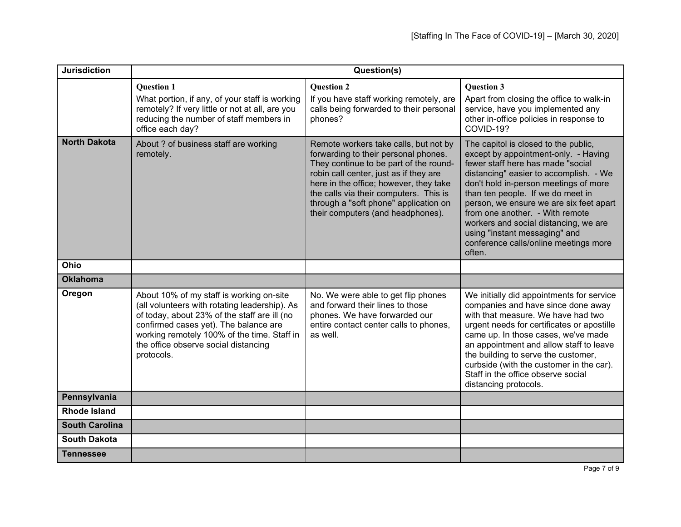| <b>Jurisdiction</b>   | Question(s)                                                                                                                                                                                                                                                                             |                                                                                                                                                                                                                                                                                                                                     |                                                                                                                                                                                                                                                                                                                                                                                                                                                      |
|-----------------------|-----------------------------------------------------------------------------------------------------------------------------------------------------------------------------------------------------------------------------------------------------------------------------------------|-------------------------------------------------------------------------------------------------------------------------------------------------------------------------------------------------------------------------------------------------------------------------------------------------------------------------------------|------------------------------------------------------------------------------------------------------------------------------------------------------------------------------------------------------------------------------------------------------------------------------------------------------------------------------------------------------------------------------------------------------------------------------------------------------|
|                       | <b>Ouestion 1</b><br>What portion, if any, of your staff is working<br>remotely? If very little or not at all, are you<br>reducing the number of staff members in<br>office each day?                                                                                                   | <b>Ouestion 2</b><br>If you have staff working remotely, are<br>calls being forwarded to their personal<br>phones?                                                                                                                                                                                                                  | <b>Ouestion 3</b><br>Apart from closing the office to walk-in<br>service, have you implemented any<br>other in-office policies in response to<br>COVID-19?                                                                                                                                                                                                                                                                                           |
| <b>North Dakota</b>   | About ? of business staff are working<br>remotely.                                                                                                                                                                                                                                      | Remote workers take calls, but not by<br>forwarding to their personal phones.<br>They continue to be part of the round-<br>robin call center, just as if they are<br>here in the office; however, they take<br>the calls via their computers. This is<br>through a "soft phone" application on<br>their computers (and headphones). | The capitol is closed to the public,<br>except by appointment-only. - Having<br>fewer staff here has made "social<br>distancing" easier to accomplish. - We<br>don't hold in-person meetings of more<br>than ten people. If we do meet in<br>person, we ensure we are six feet apart<br>from one another. - With remote<br>workers and social distancing, we are<br>using "instant messaging" and<br>conference calls/online meetings more<br>often. |
| Ohio                  |                                                                                                                                                                                                                                                                                         |                                                                                                                                                                                                                                                                                                                                     |                                                                                                                                                                                                                                                                                                                                                                                                                                                      |
| <b>Oklahoma</b>       |                                                                                                                                                                                                                                                                                         |                                                                                                                                                                                                                                                                                                                                     |                                                                                                                                                                                                                                                                                                                                                                                                                                                      |
| Oregon                | About 10% of my staff is working on-site<br>(all volunteers with rotating leadership). As<br>of today, about 23% of the staff are ill (no<br>confirmed cases yet). The balance are<br>working remotely 100% of the time. Staff in<br>the office observe social distancing<br>protocols. | No. We were able to get flip phones<br>and forward their lines to those<br>phones. We have forwarded our<br>entire contact center calls to phones,<br>as well.                                                                                                                                                                      | We initially did appointments for service<br>companies and have since done away<br>with that measure. We have had two<br>urgent needs for certificates or apostille<br>came up. In those cases, we've made<br>an appointment and allow staff to leave<br>the building to serve the customer,<br>curbside (with the customer in the car).<br>Staff in the office observe social<br>distancing protocols.                                              |
| Pennsylvania          |                                                                                                                                                                                                                                                                                         |                                                                                                                                                                                                                                                                                                                                     |                                                                                                                                                                                                                                                                                                                                                                                                                                                      |
| <b>Rhode Island</b>   |                                                                                                                                                                                                                                                                                         |                                                                                                                                                                                                                                                                                                                                     |                                                                                                                                                                                                                                                                                                                                                                                                                                                      |
| <b>South Carolina</b> |                                                                                                                                                                                                                                                                                         |                                                                                                                                                                                                                                                                                                                                     |                                                                                                                                                                                                                                                                                                                                                                                                                                                      |
| <b>South Dakota</b>   |                                                                                                                                                                                                                                                                                         |                                                                                                                                                                                                                                                                                                                                     |                                                                                                                                                                                                                                                                                                                                                                                                                                                      |
| <b>Tennessee</b>      |                                                                                                                                                                                                                                                                                         |                                                                                                                                                                                                                                                                                                                                     |                                                                                                                                                                                                                                                                                                                                                                                                                                                      |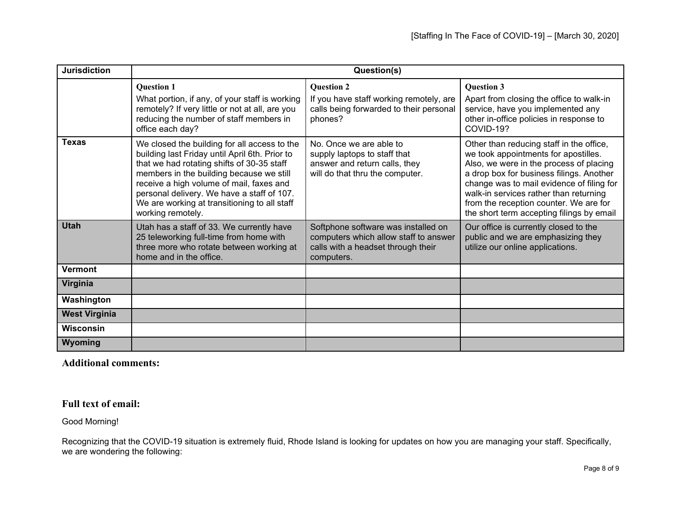| <b>Jurisdiction</b>  | Question(s)                                                                                                                                                                                                                                                                                                                                             |                                                                                                                                  |                                                                                                                                                                                                                                                                                                                                                       |
|----------------------|---------------------------------------------------------------------------------------------------------------------------------------------------------------------------------------------------------------------------------------------------------------------------------------------------------------------------------------------------------|----------------------------------------------------------------------------------------------------------------------------------|-------------------------------------------------------------------------------------------------------------------------------------------------------------------------------------------------------------------------------------------------------------------------------------------------------------------------------------------------------|
|                      | <b>Question 1</b><br>What portion, if any, of your staff is working<br>remotely? If very little or not at all, are you<br>reducing the number of staff members in<br>office each day?                                                                                                                                                                   | <b>Question 2</b><br>If you have staff working remotely, are<br>calls being forwarded to their personal<br>phones?               | <b>Question 3</b><br>Apart from closing the office to walk-in<br>service, have you implemented any<br>other in-office policies in response to<br>COVID-19?                                                                                                                                                                                            |
| <b>Texas</b>         | We closed the building for all access to the<br>building last Friday until April 6th. Prior to<br>that we had rotating shifts of 30-35 staff<br>members in the building because we still<br>receive a high volume of mail, faxes and<br>personal delivery. We have a staff of 107.<br>We are working at transitioning to all staff<br>working remotely. | No. Once we are able to<br>supply laptops to staff that<br>answer and return calls, they<br>will do that thru the computer.      | Other than reducing staff in the office,<br>we took appointments for apostilles.<br>Also, we were in the process of placing<br>a drop box for business filings. Another<br>change was to mail evidence of filing for<br>walk-in services rather than returning<br>from the reception counter. We are for<br>the short term accepting filings by email |
| <b>Utah</b>          | Utah has a staff of 33. We currently have<br>25 teleworking full-time from home with<br>three more who rotate between working at<br>home and in the office.                                                                                                                                                                                             | Softphone software was installed on<br>computers which allow staff to answer<br>calls with a headset through their<br>computers. | Our office is currently closed to the<br>public and we are emphasizing they<br>utilize our online applications.                                                                                                                                                                                                                                       |
| Vermont              |                                                                                                                                                                                                                                                                                                                                                         |                                                                                                                                  |                                                                                                                                                                                                                                                                                                                                                       |
| Virginia             |                                                                                                                                                                                                                                                                                                                                                         |                                                                                                                                  |                                                                                                                                                                                                                                                                                                                                                       |
| Washington           |                                                                                                                                                                                                                                                                                                                                                         |                                                                                                                                  |                                                                                                                                                                                                                                                                                                                                                       |
| <b>West Virginia</b> |                                                                                                                                                                                                                                                                                                                                                         |                                                                                                                                  |                                                                                                                                                                                                                                                                                                                                                       |
| <b>Wisconsin</b>     |                                                                                                                                                                                                                                                                                                                                                         |                                                                                                                                  |                                                                                                                                                                                                                                                                                                                                                       |
| Wyoming              |                                                                                                                                                                                                                                                                                                                                                         |                                                                                                                                  |                                                                                                                                                                                                                                                                                                                                                       |

**Additional comments:**

## **Full text of email:**

Good Morning!

Recognizing that the COVID-19 situation is extremely fluid, Rhode Island is looking for updates on how you are managing your staff. Specifically, we are wondering the following: